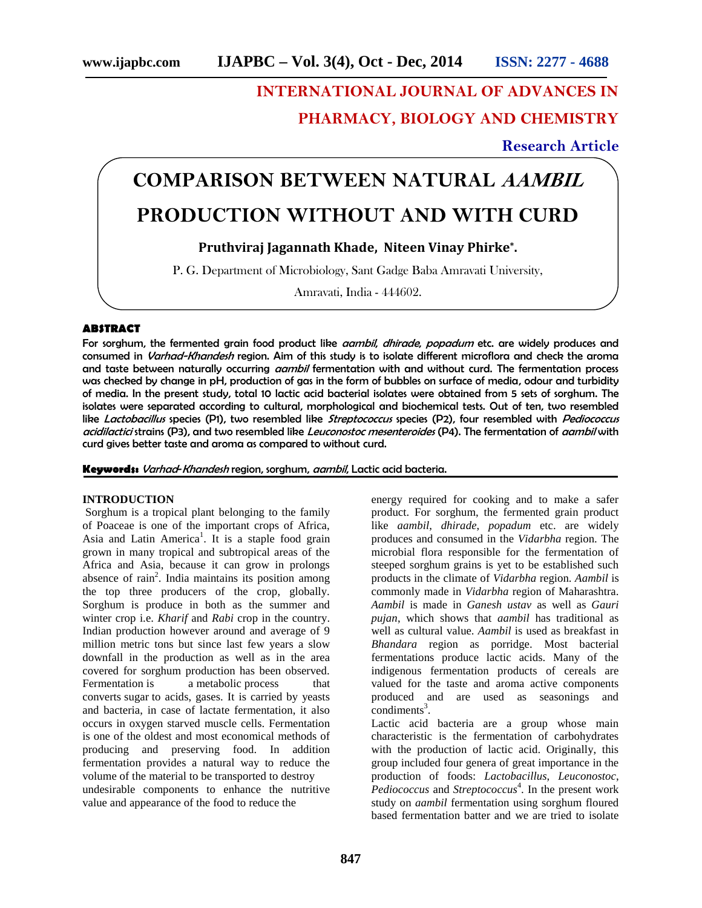# **INTERNATIONAL JOURNAL OF ADVANCES IN**

**PHARMACY, BIOLOGY AND CHEMISTRY**

**Research Article**

# **COMPARISON BETWEEN NATURAL** *AAMBIL* **PRODUCTION WITHOUT AND WITH CURD**

# **Pruthviraj Jagannath Khade, Niteen Vinay Phirke\* .**

P. G. Department of Microbiology, Sant Gadge Baba Amravati University,

Amravati, India - 444602.

# **ABSTRACT**

For sorghum, the fermented grain food product like *aambil*, *dhirade*, *popadum* etc. are widely produces and consumed in *Varhad-Khandesh* region. Aim of this study is to isolate different microflora and check the aroma and taste between naturally occurring *aambil* fermentation with and without curd. The fermentation process was checked by change in pH, production of gas in the form of bubbles on surface of media, odour and turbidity of media. In the present study, total 10 lactic acid bacterial isolates were obtained from 5 sets of sorghum. The isolates were separated according to cultural, morphological and biochemical tests. Out of ten, two resembled like *Lactobacillus* species (P1), two resembled like *Streptococcus* species (P2), four resembled with *Pediococcus acidilactici* strains (P3), and two resembled like *Leuconostoc mesenteroides* (P4). The fermentation of *aambil* with curd gives better taste and aroma as compared to without curd.

**Keywords:** *Varhad*-*Khandesh* region, sorghum, *aambil*, Lactic acid bacteria.

#### **INTRODUCTION**

Sorghum is a tropical plant belonging to the family of Poaceae is one of the important crops of Africa, Asia and Latin America<sup>1</sup>. It is a staple food grain grown in many tropical and subtropical areas of the Africa and Asia, because it can grow in prolongs absence of rain<sup>2</sup>. India maintains its position among the top three producers of the crop, globally. Sorghum is produce in both as the summer and winter crop i.e. *Kharif* and *Rabi* crop in the country. Indian production however around and average of 9 million metric tons but since last few years a slow downfall in the production as well as in the area covered for sorghum production has been observed. Fermentation is a metabolic process that converts sugar to acids, gases. It is carried by yeasts and bacteria, in case of lactate fermentation, it also occurs in oxygen starved muscle cells. Fermentation is one of the oldest and most economical methods of producing and preserving food. In addition fermentation provides a natural way to reduce the volume of the material to be transported to destroy undesirable components to enhance the nutritive value and appearance of the food to reduce the

energy required for cooking and to make a safer product. For sorghum, the fermented grain product like *aambil*, *dhirade*, *popadum* etc. are widely produces and consumed in the *Vidarbha* region. The microbial flora responsible for the fermentation of steeped sorghum grains is yet to be established such products in the climate of *Vidarbha* region. *Aambil* is commonly made in *Vidarbha* region of Maharashtra. *Aambil* is made in *Ganesh ustav* as well as *Gauri pujan*, which shows that *aambil* has traditional as well as cultural value. *Aambil* is used as breakfast in *Bhandara* region as porridge. Most bacterial fermentations produce lactic acids. Many of the indigenous fermentation products of cereals are valued for the taste and aroma active components produced and are used as seasonings and  $conditions<sup>3</sup>$ .

Lactic acid bacteria are a group whose main characteristic is the fermentation of carbohydrates with the production of lactic acid. Originally, this group included four genera of great importance in the production of foods: *Lactobacillus*, *Leuconostoc*, *Pediococcus* and *Streptococcus*<sup>4</sup>. In the present work study on *aambil* fermentation using sorghum floured based fermentation batter and we are tried to isolate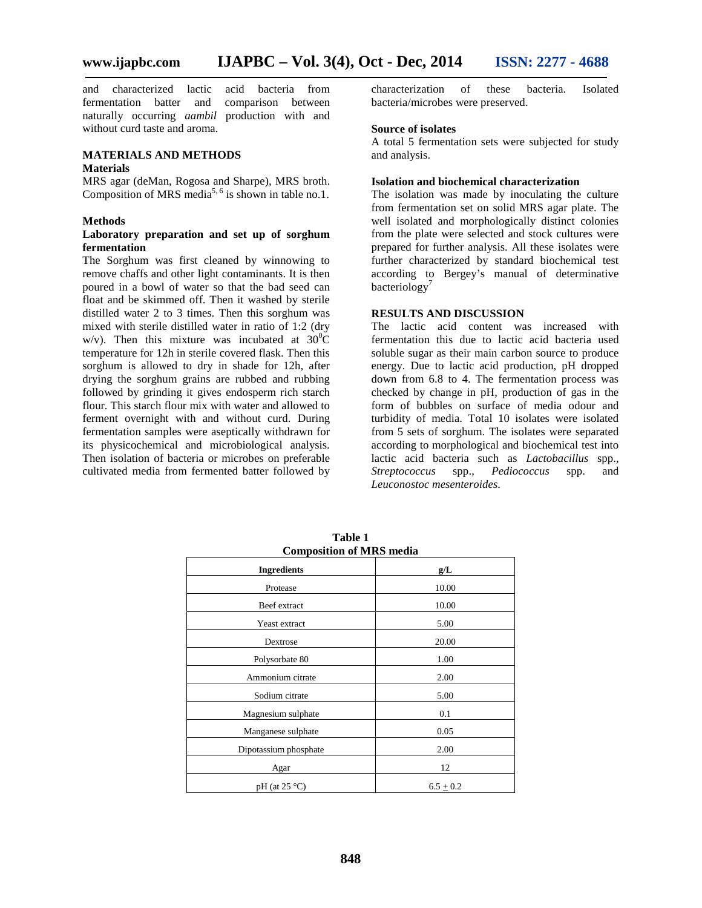and characterized lactic acid bacteria from fermentation batter and comparison between naturally occurring *aambil* production with and without curd taste and aroma.

#### **MATERIALS AND METHODS**

#### **Materials**

MRS agar (deMan, Rogosa and Sharpe), MRS broth. Composition of MRS media<sup>5, 6</sup> is shown in table no.1.

## **Methods**

#### **Laboratory preparation and set up of sorghum fermentation**

The Sorghum was first cleaned by winnowing to remove chaffs and other light contaminants. It is then poured in a bowl of water so that the bad seed can float and be skimmed off. Then it washed by sterile distilled water 2 to 3 times. Then this sorghum was mixed with sterile distilled water in ratio of 1:2 (dry w/v). Then this mixture was incubated at  $30^0C$ temperature for 12h in sterile covered flask. Then this sorghum is allowed to dry in shade for 12h, after drying the sorghum grains are rubbed and rubbing followed by grinding it gives endosperm rich starch flour. This starch flour mix with water and allowed to ferment overnight with and without curd. During fermentation samples were aseptically withdrawn for its physicochemical and microbiological analysis. Then isolation of bacteria or microbes on preferable cultivated media from fermented batter followed by

characterization of these bacteria. Isolated bacteria/microbes were preserved.

#### **Source of isolates**

A total 5 fermentation sets were subjected for study and analysis.

#### **Isolation and biochemical characterization**

The isolation was made by inoculating the culture from fermentation set on solid MRS agar plate. The well isolated and morphologically distinct colonies from the plate were selected and stock cultures were prepared for further analysis. All these isolates were further characterized by standard biochemical test according to Bergey's manual of determinative bacteriology<sup>7</sup>

# **RESULTS AND DISCUSSION**

The lactic acid content was increased with fermentation this due to lactic acid bacteria used soluble sugar as their main carbon source to produce energy. Due to lactic acid production, pH dropped down from 6.8 to 4. The fermentation process was checked by change in pH, production of gas in the form of bubbles on surface of media odour and turbidity of media. Total 10 isolates were isolated from 5 sets of sorghum. The isolates were separated according to morphological and biochemical test into lactic acid bacteria such as *Lactobacillus* spp., *Streptococcus* spp., *Pediococcus* spp. and *Leuconostoc mesenteroides*.

|                       | <b>Composition of MRS media</b><br><b>Ingredients</b><br>g/L<br>10.00<br>Protease |  |  |  |
|-----------------------|-----------------------------------------------------------------------------------|--|--|--|
|                       |                                                                                   |  |  |  |
|                       |                                                                                   |  |  |  |
| Beef extract          | 10.00                                                                             |  |  |  |
| Yeast extract         | 5.00                                                                              |  |  |  |
| Dextrose              | 20.00                                                                             |  |  |  |
| Polysorbate 80        | 1.00                                                                              |  |  |  |
| Ammonium citrate      | 2.00                                                                              |  |  |  |
| Sodium citrate        | 5.00                                                                              |  |  |  |
| Magnesium sulphate    | 0.1                                                                               |  |  |  |
| Manganese sulphate    | 0.05                                                                              |  |  |  |
| Dipotassium phosphate | 2.00                                                                              |  |  |  |
| Agar                  | 12                                                                                |  |  |  |
| $pH$ (at 25 °C)       | $6.5 + 0.2$                                                                       |  |  |  |

**Table 1 Composition of MRS media**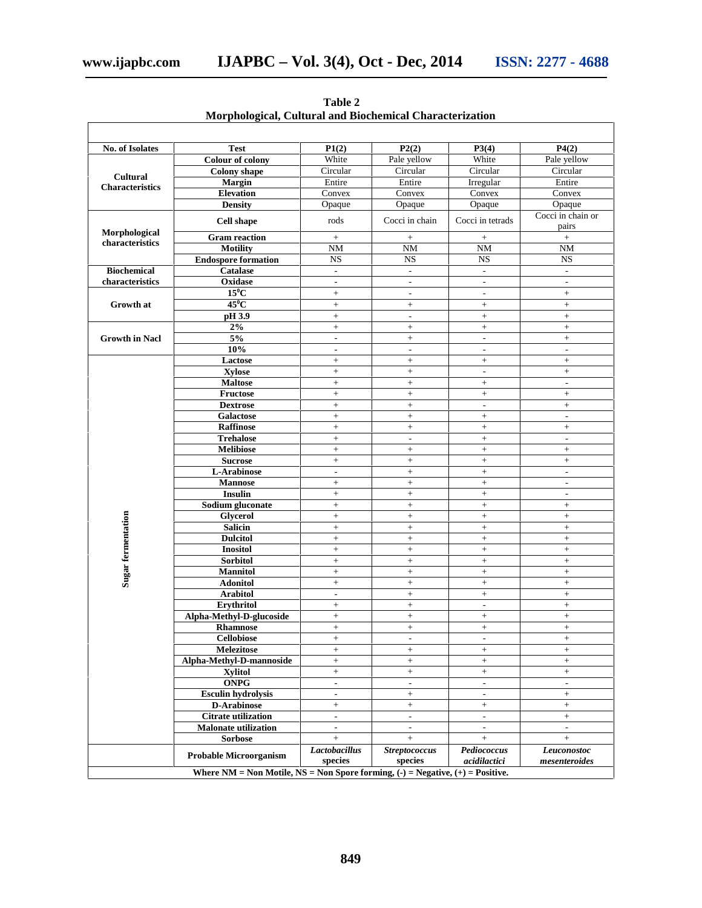| No. of Isolates                           | <b>Test</b>                   | P1(2)                    | P2(2)                    | P3(4)                    | P4(2)                                                |
|-------------------------------------------|-------------------------------|--------------------------|--------------------------|--------------------------|------------------------------------------------------|
| <b>Cultural</b><br><b>Characteristics</b> | <b>Colour of colony</b>       | White                    | Pale yellow              | White                    | Pale yellow                                          |
|                                           | <b>Colony</b> shape           | Circular                 | Circular                 | Circular                 | Circular                                             |
|                                           | <b>Margin</b>                 | Entire                   | Entire                   | Irregular                | Entire                                               |
|                                           | <b>Elevation</b>              | Convex                   | Convex                   | Convex                   | Convex                                               |
|                                           | <b>Density</b>                | Opaque                   | Opaque                   | Opaque                   | Opaque                                               |
| Morphological<br>characteristics          | <b>Cell shape</b>             | rods                     | Cocci in chain           | Cocci in tetrads         | Cocci in chain or<br>pairs                           |
|                                           | <b>Gram</b> reaction          | $+$                      | $+$                      | $^{+}$                   | $+$                                                  |
|                                           | <b>Motility</b>               | <b>NM</b>                | <b>NM</b>                | NM                       | <b>NM</b>                                            |
|                                           | <b>Endospore formation</b>    | $_{\rm NS}$              | $_{\rm NS}$              | <b>NS</b>                | <b>NS</b>                                            |
| <b>Biochemical</b>                        | <b>Catalase</b>               | $\overline{\phantom{a}}$ | $\overline{\phantom{a}}$ | $\overline{\phantom{a}}$ | $\overline{\phantom{a}}$                             |
| characteristics<br>Growth at              | Oxidase                       | $\overline{\phantom{a}}$ | $\overline{\phantom{a}}$ | $\overline{\phantom{a}}$ | $\mathcal{L}$                                        |
|                                           | $15^0$ C                      | $^{+}$                   | $\overline{\phantom{a}}$ | $\overline{\phantom{a}}$ | $^{+}$                                               |
|                                           | $45^0$ C                      | $+$                      | $\ddot{}$                | $+$                      | $^{+}$                                               |
|                                           | pH 3.9                        | $\boldsymbol{+}$         | $\overline{\phantom{a}}$ | $^+$                     | $\ddot{}$                                            |
| <b>Growth in Nacl</b>                     | 2%                            | $^{+}$                   | $\ddot{}$                | $^{+}$                   | $\ddot{}$                                            |
|                                           | 5%                            | $\overline{a}$           | $\ddot{}$                | $\overline{a}$           | $\ddot{}$                                            |
|                                           | 10%                           | $\overline{\phantom{a}}$ | $\overline{\phantom{a}}$ | $\overline{\phantom{a}}$ | $\overline{\phantom{a}}$                             |
|                                           | Lactose                       | $\pm$                    | $^+$                     | $+$                      | $^{+}$                                               |
|                                           | <b>Xylose</b>                 | $\ddot{}$                | $\ddot{}$                | $\overline{a}$           | $\ddot{}$                                            |
|                                           | <b>Maltose</b>                | $^{+}$                   | $\ddot{}$                | $\boldsymbol{+}$         | $\overline{\phantom{a}}$                             |
|                                           | <b>Fructose</b>               | $+$                      | $^{+}$                   | $+$                      | $^{+}$                                               |
|                                           | <b>Dextrose</b>               | $+$                      | $+$                      | $\overline{a}$           | $^{+}$                                               |
|                                           | <b>Galactose</b>              | $^{+}$                   | $\ddot{}$                | $\qquad \qquad +$        | $\sim$                                               |
|                                           | <b>Raffinose</b>              | $+$                      | $+$                      | $+$                      | $^{+}$                                               |
|                                           | <b>Trehalose</b>              | $^+$                     | $\overline{\phantom{a}}$ | $^{+}$                   | $\overline{\phantom{a}}$                             |
|                                           | <b>Melibiose</b>              | $\pm$                    | $\ddot{}$                | $+$                      | $^{+}$                                               |
|                                           | <b>Sucrose</b>                | $^{+}$                   | $\ddot{}$                | $\qquad \qquad +$        | $\ddot{}$                                            |
|                                           | L-Arabinose                   | $\overline{\phantom{a}}$ |                          | $+$                      |                                                      |
|                                           | <b>Mannose</b>                |                          | $^{+}$<br>$\ddot{}$      | $\ddot{}$                | $\overline{\phantom{a}}$<br>$\overline{\phantom{a}}$ |
|                                           | <b>Insulin</b>                | $^{+}$                   |                          |                          |                                                      |
|                                           | Sodium gluconate              | $+$                      | $^{+}$                   | $+$                      | $\overline{\phantom{a}}$                             |
|                                           |                               | $^{+}$<br>$\ddot{}$      | $\ddot{}$                | $^+$<br>$\ddot{}$        | $^{+}$                                               |
|                                           | <b>Glycerol</b>               |                          | $\ddot{}$                |                          | $\ddot{}$                                            |
|                                           | <b>Salicin</b>                | $^{+}$                   | $\ddot{}$                | $^+$                     | $^{+}$                                               |
|                                           | <b>Dulcitol</b>               | $+$                      | $+$                      | $+$                      | $+$                                                  |
|                                           | <b>Inositol</b>               | $\qquad \qquad +$        | $\ddot{}$                | $\boldsymbol{+}$         | $\ddot{}$                                            |
|                                           | Sorbitol                      | $^{+}$                   | $\ddot{}$                | $^{+}$                   | $\ddot{}$                                            |
| Sugar fermentation                        | <b>Mannitol</b>               | $\ddot{}$                | $\ddot{}$                | $+$                      | $\ddot{}$                                            |
|                                           | <b>Adonitol</b>               | $\boldsymbol{+}$         | $^+$                     | $+$                      | $^{+}$                                               |
|                                           | <b>Arabitol</b>               | $\mathcal{L}$            | $^+$                     | $+$                      | $\ddot{}$                                            |
|                                           | Erythritol                    | $^{+}$                   | $\ddot{}$                | $\overline{a}$           | $\ddot{}$                                            |
|                                           | Alpha-Methyl-D-glucoside      | $^{+}$                   | $^{+}$                   | $+$                      | $^{+}$                                               |
|                                           | <b>Rhamnose</b>               | $\! + \!\!\!\!$          |                          | $^{+}$                   | $^{+}$                                               |
|                                           | <b>Cellobiose</b>             | $+$                      | $\overline{\phantom{a}}$ | $\overline{\phantom{a}}$ | $+$                                                  |
|                                           | Melezitose                    | $\boldsymbol{+}$         | $^{+}$                   | $\boldsymbol{+}$         | $\boldsymbol{+}$                                     |
|                                           | Alpha-Methyl-D-mannoside      | $^{+}$                   | $\ddot{}$                | $^{+}$                   | $^{+}$                                               |
|                                           | <b>Xylitol</b>                | $^+$                     | $^+$                     | $^{+}$                   | $\boldsymbol{+}$                                     |
|                                           | <b>ONPG</b>                   | $\overline{\phantom{a}}$ | $\overline{\phantom{a}}$ | ٠                        | $\overline{\phantom{a}}$                             |
|                                           | <b>Esculin hydrolysis</b>     | $\overline{\phantom{a}}$ | $+$                      | $\overline{\phantom{a}}$ | $^+$                                                 |
|                                           | <b>D-Arabinose</b>            | $\boldsymbol{+}$         | $^{+}$                   | $^{+}$                   | $\boldsymbol{+}$                                     |
|                                           | <b>Citrate utilization</b>    | $\overline{\phantom{a}}$ | $\frac{1}{2}$            | $\overline{a}$           | $^{+}$                                               |
|                                           | <b>Malonate utilization</b>   | $\overline{\phantom{a}}$ | $\sim$                   | $\overline{\phantom{a}}$ | $\overline{\phantom{a}}$                             |
|                                           | <b>Sorbose</b>                | $\boldsymbol{+}$         | $+$                      | $+$                      | $^{+}$                                               |
|                                           |                               | <b>Lactobacillus</b>     | <b>Streptococcus</b>     | Pediococcus              | Leuconostoc                                          |
|                                           | <b>Probable Microorganism</b> | species                  | species                  | acidilactici             | mesenteroides                                        |

**Table 2 Morphological, Cultural and Biochemical Characterization**